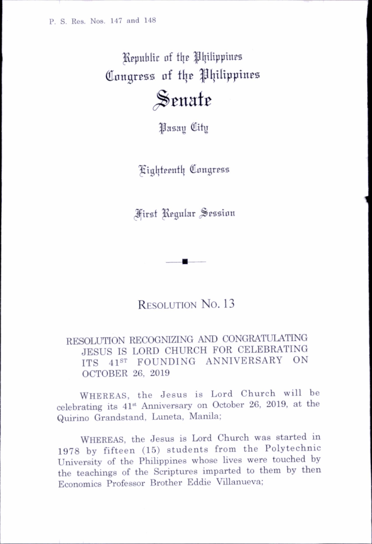P. S. Res. Nos. 147 and 148

Republic of the Philippines Congress of the Philippines

 $\mathcal S$ enate

^asau (Hity

l^tgl{tfpntl| (Umigress

First Regular Session

RESOLUTION No. 13

RESOLUTION RECOGNIZING AND CONGRATULATING JESUS IS LORD CHURCH FOR CELEBRATING ITS 41<sup>st</sup> FOUNDING ANNIVERSARY ON OCTOBER 26, 2019

Whereas, the Jesus is Lord Church will be celebrating its 41st Anniversary on October 26, 2019, at the Quirino Grandstand, Luneta, Manila;

Whereas, the Jesus is Lord Church was started in 1978 by fifteen (15) students from the Polytechnic University of the Philippines whose lives were touched by the teachings of the Scriptures imparted to them by then Economics Professor Brother Eddie Villanueva: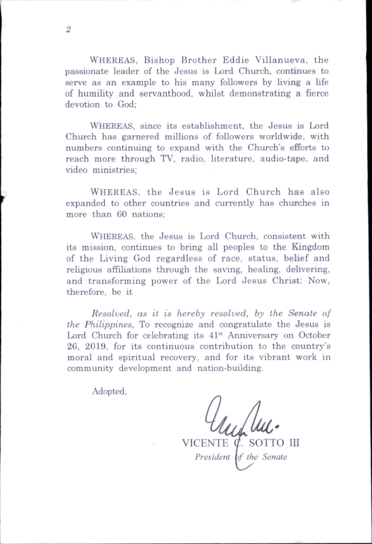Whereas, since its establishment, the Jesus is Lord Church has garnered millions of followers worldwide, with numbers continuing to expand with the Church's efforts to reach more through TV, radio, literature, audio-tape, and video ministries;

Whereas, the Jesus is Lord Church has also expanded to other countries and currently has churches in more than 60 nations;

Whereas, the Jesus is Lord Church, consistent with its mission, continues to bring all peoples to the Kingdom of the Living God regardless of race, status, belief and religious affiliations through the saving, healing, delivering, and transforming power of the Lord Jesus Christ; Now, therefore, be it

Resolved, as it is hereby resolved, by the Senate of the Philippines, To recognize and congratulate the Jesus is Lord Church for celebrating its 41<sup>st</sup> Anniversary on October 26, 2019, for its continuous contribution to the country's moral and spiritual recovery, and for its vibrant work in community development and nation-building.

Adopted,

VICENTE  $\varphi$ . SOTTO III President of the Senate